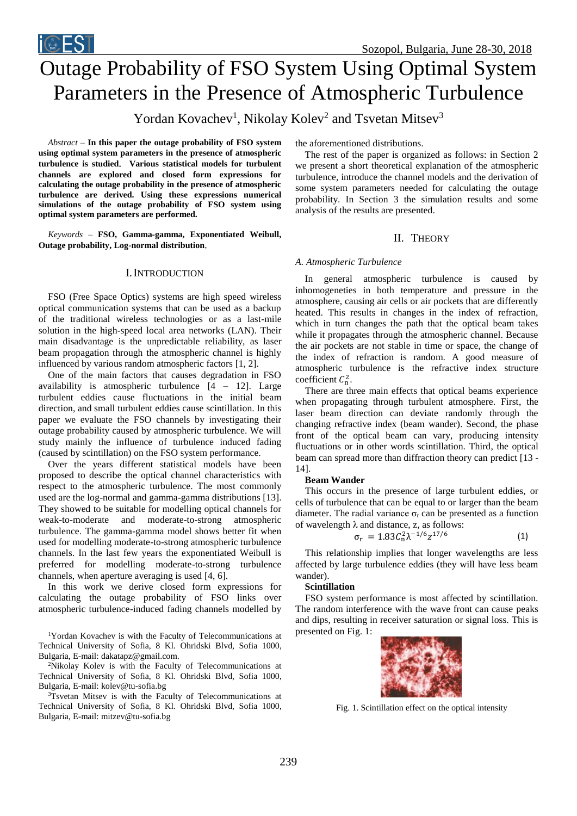

# Outage Probability of FSO System Using Optimal System Parameters in the Presence of Atmospheric Turbulence

Yordan Kovachev<sup>1</sup>, Nikolay Kolev<sup>2</sup> and Tsvetan Mitsev<sup>3</sup>

*Abstract –* **In this paper the outage probability of FSO system using optimal system parameters in the presence of atmospheric turbulence is studied**. **Various statistical models for turbulent channels are explored and closed form expressions for calculating the outage probability in the presence of atmospheric turbulence are derived. Using these expressions numerical simulations of the outage probability of FSO system using optimal system parameters are performed.**

*Keywords –* **FSO, Gamma-gamma, Exponentiated Weibull, Outage probability, Log-normal distribution**.

## I.INTRODUCTION

FSO (Free Space Optics) systems are high speed wireless optical communication systems that can be used as a backup of the traditional wireless technologies or as a last-mile solution in the high-speed local area networks (LAN). Their main disadvantage is the unpredictable reliability, as laser beam propagation through the atmospheric channel is highly influenced by various random atmospheric factors [1, 2].

One of the main factors that causes degradation in FSO availability is atmospheric turbulence  $[4 - 12]$ . Large turbulent eddies cause fluctuations in the initial beam direction, and small turbulent eddies cause scintillation. In this paper we evaluate the FSO channels by investigating their outage probability caused by atmospheric turbulence. We will study mainly the influence of turbulence induced fading (caused by scintillation) on the FSO system performance.

Over the years different statistical models have been proposed to describe the optical channel characteristics with respect to the atmospheric turbulence. The most commonly used are the log-normal and gamma-gamma distributions [13]. They showed to be suitable for modelling optical channels for weak-to-moderate and moderate-to-strong atmospheric turbulence. The gamma-gamma model shows better fit when used for modelling moderate-to-strong atmospheric turbulence channels. In the last few years the exponentiated Weibull is preferred for modelling moderate-to-strong turbulence channels, when aperture averaging is used [4, 6].

In this work we derive closed form expressions for calculating the outage probability of FSO links over atmospheric turbulence-induced fading channels modelled by

<sup>1</sup>Yordan Kovachev is with the Faculty of Telecommunications at Technical University of Sofia, 8 Kl. Ohridski Blvd, Sofia 1000, Bulgaria, E-mail: dakatapz@gmail.com.

<sup>2</sup>Nikolay Kolev is with the Faculty of Telecommunications at Technical University of Sofia, 8 Kl. Ohridski Blvd, Sofia 1000, Bulgaria, E-mail: kolev@tu-sofia.bg

<sup>3</sup>Tsvetan Mitsev is with the Faculty of Telecommunications at Technical University of Sofia, 8 Kl. Ohridski Blvd, Sofia 1000, Bulgaria, E-mail: mitzev@tu-sofia.bg

the aforementioned distributions.

The rest of the paper is organized as follows: in Section 2 we present a short theoretical explanation of the atmospheric turbulence, introduce the channel models and the derivation of some system parameters needed for calculating the outage probability. In Section 3 the simulation results and some analysis of the results are presented.

# II. THEORY

## *A. Atmospheric Turbulence*

In general atmospheric turbulence is caused by inhomogeneties in both temperature and pressure in the atmosphere, causing air cells or air pockets that are differently heated. This results in changes in the index of refraction, which in turn changes the path that the optical beam takes while it propagates through the atmospheric channel. Because the air pockets are not stable in time or space, the change of the index of refraction is random. A good measure of atmospheric turbulence is the refractive index structure coefficient  $C_n^2$ .

There are three main effects that optical beams experience when propagating through turbulent atmosphere. First, the laser beam direction can deviate randomly through the changing refractive index (beam wander). Second, the phase front of the optical beam can vary, producing intensity fluctuations or in other words scintillation. Third, the optical beam can spread more than diffraction theory can predict [13 - 14].

## **Beam Wander**

This occurs in the presence of large turbulent eddies, or cells of turbulence that can be equal to or larger than the beam diameter. The radial variance  $\sigma_r$  can be presented as a function of wavelength  $\lambda$  and distance, z, as follows:

$$
\sigma_{\rm r} = 1.83 \mathcal{C}_{\rm n}^2 \lambda^{-1/6} z^{17/6} \tag{1}
$$

This relationship implies that longer wavelengths are less affected by large turbulence eddies (they will have less beam wander).

#### **Scintillation**

FSO system performance is most affected by scintillation. The random interference with the wave front can cause peaks and dips, resulting in receiver saturation or signal loss. This is presented on Fig. 1:



Fig. 1. Scintillation effect on the optical intensity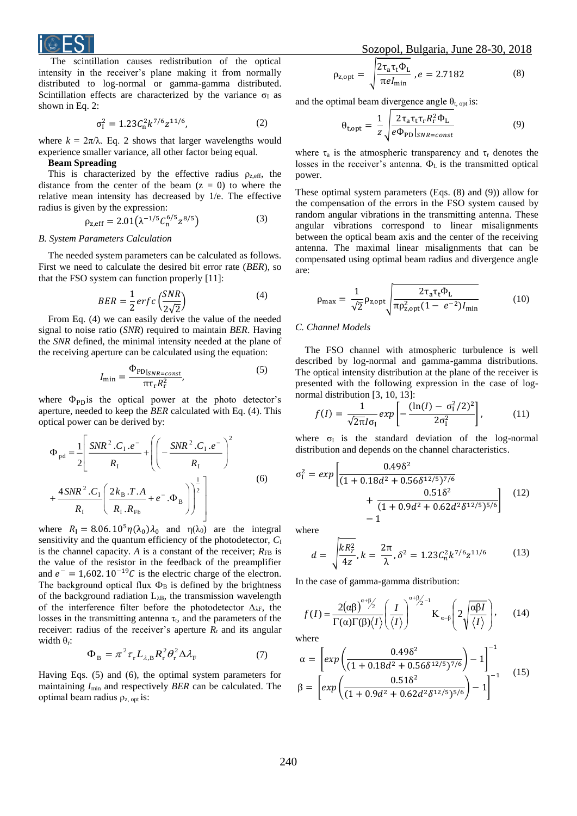

The scintillation causes redistribution of the optical intensity in the receiver's plane making it from normally distributed to log-normal or gamma-gamma distributed. Scintillation effects are characterized by the variance  $\sigma$ <sub>I</sub> as shown in Eq. 2:

$$
\sigma_{\rm I}^2 = 1.23 C_{\rm n}^2 k^{7/6} z^{11/6},\tag{2}
$$

where  $k = 2\pi/\lambda$ . Eq. 2 shows that larger wavelengths would experience smaller variance, all other factor being equal.

## **Beam Spreading**

This is characterized by the effective radius  $\rho_{z,eff}$ , the distance from the center of the beam  $(z = 0)$  to where the relative mean intensity has decreased by 1/e. The effective radius is given by the expression:

$$
\rho_{z,eff} = 2.01(\lambda^{-1/5}C_0^{6/5}z^{8/5})\tag{3}
$$

#### *B. System Parameters Calculation*

The needed system parameters can be calculated as follows. First we need to calculate the desired bit error rate (*BER*), so that the FSO system can function properly [11]:

$$
BER = \frac{1}{2} \, erf \, c \left( \frac{SNR}{2\sqrt{2}} \right) \tag{4}
$$

From Eq. (4) we can easily derive the value of the needed signal to noise ratio (*SNR*) required to maintain *BER*. Having the *SNR* defined, the minimal intensity needed at the plane of the receiving aperture can be calculated using the equation:

$$
I_{\min} = \frac{\Phi_{\text{PD}|_{SNR=const}}}{\pi \tau_{\text{r}} R_{\text{r}}^2},\tag{5}
$$

where  $\Phi_{\text{PD}}$  is the optical power at the photo detector's aperture, needed to keep the *BER* calculated with Eq. (4). This optical power can be derived by:

$$
\Phi_{\text{pd}} = \frac{1}{2} \left[ \frac{SNR^2 \cdot C_1 \cdot e^-}{R_1} + \left( \left( -\frac{SNR^2 \cdot C_1 \cdot e^-}{R_1} \right)^2 + \frac{4SNR^2 \cdot C_1}{R_1} \left( \frac{2k_B \cdot T \cdot A}{R_1 \cdot R_{\text{Fb}}} + e^- \cdot \Phi_B \right) \right)^{\frac{1}{2}} \right] \tag{6}
$$

where  $R_1 = 8.06. 10^5 \eta(\lambda_0) \lambda_0$  and  $\eta(\lambda_0)$  are the integral sensitivity and the quantum efficiency of the photodetector,  $C_I$ is the channel capacity. *A* is a constant of the receiver;  $R_{FB}$  is the value of the resistor in the feedback of the preamplifier and  $e^- = 1,602. 10^{-19}C$  is the electric charge of the electron. The background optical flux  $\Phi_B$  is defined by the brightness of the background radiation  $L_{\lambda B}$ , the transmission wavelength of the interference filter before the photodetector  $\Delta_{\lambda}$ , the losses in the transmitting antenna  $\tau_t$ , and the parameters of the receiver: radius of the receiver's aperture  $R_r$  and its angular width  $\theta_r$ :

$$
\Phi_{\rm B} = \pi^2 \tau_{\rm r} L_{\lambda, \rm B} R_{\rm r}^2 \theta_{\rm r}^2 \Delta \lambda_{\rm F}
$$
 (7)

Having Eqs. (5) and (6), the optimal system parameters for maintaining *I*min and respectively *BER* can be calculated. The optimal beam radius  $\rho_{z, \text{opt}}$  is:

$$
\rho_{z,\text{opt}} = \sqrt{\frac{2\tau_a \tau_t \Phi_L}{\pi e I_{\text{min}}}}, e = 2.7182 \tag{8}
$$

and the optimal beam divergence angle  $\theta_{t, \text{opt}}$  is:

$$
\theta_{\text{t},\text{opt}} = \frac{1}{z} \sqrt{\frac{2\tau_{\text{a}}\tau_{\text{t}}\tau_{\text{r}}R_{\text{r}}^2\Phi_{\text{L}}}{e\Phi_{\text{PD}}|_{SNR=const}}}
$$
(9)

where  $\tau_a$  is the atmospheric transparency and  $\tau_r$  denotes the losses in the receiver's antenna.  $\Phi_L$  is the transmitted optical power.

These optimal system parameters (Eqs. (8) and (9)) allow for the compensation of the errors in the FSO system caused by random angular vibrations in the transmitting antenna. These angular vibrations correspond to linear misalignments between the optical beam axis and the center of the receiving antenna. The maximal linear misalignments that can be compensated using optimal beam radius and divergence angle are:

$$
\rho_{\text{max}} = \frac{1}{\sqrt{2}} \rho_{z,\text{opt}} \sqrt{\frac{2\tau_a \tau_t \Phi_L}{\pi \rho_{z,\text{opt}}^2 (1 - e^{-2}) I_{\text{min}}}}
$$
(10)

#### *C. Channel Models*

The FSO channel with atmospheric turbulence is well described by log-normal and gamma-gamma distributions. The optical intensity distribution at the plane of the receiver is presented with the following expression in the case of lognormal distribution [3, 10, 13]:

$$
f(I) = \frac{1}{\sqrt{2\pi}I\sigma_{I}}exp\left[-\frac{(\ln(I) - \sigma_{I}^{2}/2)^{2}}{2\sigma_{I}^{2}}\right],
$$
 (11)

where  $\sigma_I$  is the standard deviation of the log-normal distribution and depends on the channel characteristics.

$$
\sigma_{\rm I}^2 = exp\left[\frac{0.49\delta^2}{(1+0.18d^2+0.56\delta^{12/5})^{7/6}} + \frac{0.51\delta^2}{(1+0.9d^2+0.62d^2\delta^{12/5})^{5/6}}\right] \tag{12}
$$
\nwhere

where

$$
d = \sqrt{\frac{kR_r^2}{4z}}, k = \frac{2\pi}{\lambda}, \delta^2 = 1.23 C_n^2 k^{7/6} z^{11/6}
$$
 (13)

In the case of gamma-gamma distribution:

$$
f(I) = \frac{2(\alpha\beta)^{\alpha+\beta/2}}{\Gamma(\alpha)\Gamma(\beta)\langle I\rangle} \left(\frac{I}{\langle I\rangle}\right)^{\alpha+\beta/2-1} \mathbf{K}_{\alpha-\beta} \left(2\sqrt{\frac{\alpha\beta I}{\langle I\rangle}}\right),\qquad(14)
$$

where

$$
\alpha = \left[ exp\left(\frac{0.49\delta^2}{(1 + 0.18d^2 + 0.56\delta^{12/5})^{7/6}}\right) - 1\right]^{-1}
$$
  

$$
\beta = \left[ exp\left(\frac{0.51\delta^2}{(1 + 0.9d^2 + 0.62d^2\delta^{12/5})^{5/6}}\right) - 1\right]^{-1}
$$
(15)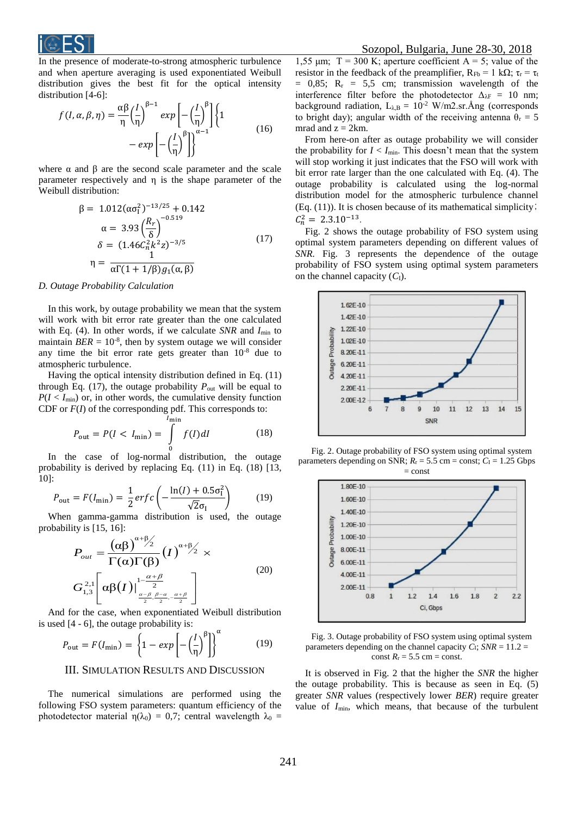

In the presence of moderate-to-strong atmospheric turbulence and when aperture averaging is used exponentiated Weibull distribution gives the best fit for the optical intensity distribution [4-6]:

$$
f(I, \alpha, \beta, \eta) = \frac{\alpha \beta}{\eta} \left(\frac{I}{\eta}\right)^{\beta - 1} \exp\left[-\left(\frac{I}{\eta}\right)^{\beta}\right] \left\{1 - \exp\left[-\left(\frac{I}{\eta}\right)^{\beta}\right]\right\}^{\alpha - 1}
$$
(16)

where  $\alpha$  and  $\beta$  are the second scale parameter and the scale parameter respectively and η is the shape parameter of the Weibull distribution:

$$
\beta = 1.012(\alpha \sigma_1^2)^{-13/25} + 0.142
$$
\n
$$
\alpha = 3.93 \left(\frac{R_r}{\delta}\right)^{-0.519}
$$
\n
$$
\delta = (1.46 C_n^2 k^2 z)^{-3/5}
$$
\n
$$
\eta = \frac{1}{\alpha \Gamma(1 + 1/\beta) g_1(\alpha, \beta)}
$$
\n(17)

#### *D. Outage Probability Calculation*

In this work, by outage probability we mean that the system will work with bit error rate greater than the one calculated with Eq. (4). In other words, if we calculate *SNR* and  $I_{\text{min}}$  to maintain  $BER = 10^{-8}$ , then by system outage we will consider any time the bit error rate gets greater than  $10^{-8}$  due to atmospheric turbulence.

Having the optical intensity distribution defined in Eq. (11) through Eq. (17), the outage probability  $P_{\text{out}}$  will be equal to  $P(I < I_{min})$  or, in other words, the cumulative density function CDF or *F*(*I*) of the corresponding pdf. This corresponds to:

$$
P_{\text{out}} = P(I < I_{\text{min}}) = \int_{0}^{I_{\text{min}}} f(I) \, dI \tag{18}
$$

In the case of log-normal distribution, the outage probability is derived by replacing Eq. (11) in Eq. (18) [13, 10]:

$$
P_{\text{out}} = F(I_{\min}) = \frac{1}{2} erfc\left(-\frac{\ln(I) + 0.5\sigma_1^2}{\sqrt{2}\sigma_1}\right) \tag{19}
$$

When gamma-gamma distribution is used, the outage probability is [15, 16]:

$$
P_{out} = \frac{(\alpha \beta)^{\alpha + \beta/2}}{\Gamma(\alpha)\Gamma(\beta)} (I)^{\alpha + \beta/2} \times
$$
  
\n
$$
G_{1,3}^{2,1} \left[ \alpha \beta(I) \Big|_{\frac{\alpha - \beta}{2}, \frac{\beta - \alpha}{2}, -\frac{\alpha + \beta}{2}}^{\alpha + \beta} \right]
$$
\n(20)

And for the case, when exponentiated Weibull distribution is used [4 - 6], the outage probability is:

$$
P_{\text{out}} = F(I_{\min}) = \left\{ 1 - exp\left[ -\left(\frac{I}{\eta}\right)^{\beta} \right] \right\}^{\alpha} \tag{19}
$$

## III. SIMULATION RESULTS AND DISCUSSION

The numerical simulations are performed using the following FSO system parameters: quantum efficiency of the photodetector material  $\eta(\lambda_0) = 0.7$ ; central wavelength  $\lambda_0 =$ 

1,55 μm;  $T = 300$  K; aperture coefficient A = 5; value of the resistor in the feedback of the preamplifier,  $R_{Fb} = 1$  kΩ;  $\tau_r = \tau_t$  $= 0.85$ ;  $R_r = 5.5$  cm; transmission wavelength of the interference filter before the photodetector  $\Delta_{\lambda}F = 10$  nm; background radiation,  $L<sub>\lambda,B</sub> = 10^{-2}$  W/m2.sr.Ång (corresponds to bright day); angular width of the receiving antenna  $\theta_r = 5$ mrad and  $z = 2km$ .

From here-on after as outage probability we will consider the probability for  $I < I_{\min}$ . This doesn't mean that the system will stop working it just indicates that the FSO will work with bit error rate larger than the one calculated with Eq. (4). The outage probability is calculated using the log-normal distribution model for the atmospheric turbulence channel (Eq. (11)). It is chosen because of its mathematical simplicity;  $C_n^2 = 2.3.10^{-13}$ .

Fig. 2 shows the outage probability of FSO system using optimal system parameters depending on different values of *SNR.* Fig. 3 represents the dependence of the outage probability of FSO system using optimal system parameters on the channel capacity (*C*I).



Fig. 2. Outage probability of FSO system using optimal system parameters depending on SNR;  $R_r = 5.5$  cm = const;  $C_l = 1.25$  Gbps  $=$  const



Fig. 3. Outage probability of FSO system using optimal system parameters depending on the channel capacity  $C_I$ ;  $SNR = 11.2 =$ const  $R_r = 5.5$  cm = const.

It is observed in Fig. 2 that the higher the *SNR* the higher the outage probability. This is because as seen in Eq. (5) greater *SNR* values (respectively lower *BER*) require greater value of *I*min, which means, that because of the turbulent